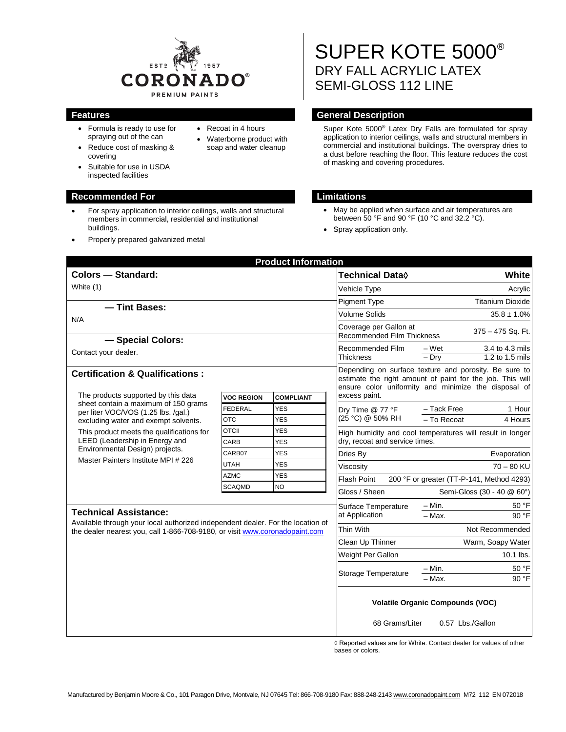

- Formula is ready to use for spraying out of the can
- Reduce cost of masking & covering
- Suitable for use in USDA inspected facilities

#### **Recommended For Limitations**

- For spray application to interior ceilings, walls and structural members in commercial, residential and institutional buildings.
- Properly prepared galvanized metal

#### • Recoat in 4 hours

• Waterborne product with soap and water cleanup

# SUPER KOTE 5000® DRY FALL ACRYLIC LATEX SEMI-GLOSS 112 LINE

### **Features General Description**

Super Kote 5000® Latex Dry Falls are formulated for spray application to interior ceilings, walls and structural members in commercial and institutional buildings. The overspray dries to a dust before reaching the floor. This feature reduces the cost of masking and covering procedures.

- May be applied when surface and air temperatures are between 50 °F and 90 °F (10 °C and 32.2 °C).
- Spray application only.

|                                                                                                                                                                                                |                                                                                                                                                                            | <b>Product Information</b> |                                                                                  |                                                             |  |
|------------------------------------------------------------------------------------------------------------------------------------------------------------------------------------------------|----------------------------------------------------------------------------------------------------------------------------------------------------------------------------|----------------------------|----------------------------------------------------------------------------------|-------------------------------------------------------------|--|
| Colors - Standard:                                                                                                                                                                             |                                                                                                                                                                            |                            | Technical Data <b>◊</b>                                                          | White                                                       |  |
| White (1)                                                                                                                                                                                      |                                                                                                                                                                            |                            | Vehicle Type                                                                     | Acrylic                                                     |  |
| - Tint Bases:                                                                                                                                                                                  |                                                                                                                                                                            |                            | <b>Pigment Type</b>                                                              | <b>Titanium Dioxide</b>                                     |  |
| N/A                                                                                                                                                                                            |                                                                                                                                                                            |                            | <b>Volume Solids</b>                                                             | $35.8 \pm 1.0\%$                                            |  |
| - Special Colors:                                                                                                                                                                              |                                                                                                                                                                            |                            | Coverage per Gallon at<br>375 - 475 Sq. Ft.<br><b>Recommended Film Thickness</b> |                                                             |  |
| Contact your dealer.                                                                                                                                                                           |                                                                                                                                                                            |                            | Recommended Film<br>Thickness                                                    | $-Wet$<br>3.4 to 4.3 mils<br>$1.2$ to $1.5$ mils<br>$-$ Drv |  |
| <b>Certification &amp; Qualifications:</b>                                                                                                                                                     | Depending on surface texture and porosity. Be sure to<br>estimate the right amount of paint for the job. This will<br>ensure color uniformity and minimize the disposal of |                            |                                                                                  |                                                             |  |
| The products supported by this data<br>sheet contain a maximum of 150 grams<br>per liter VOC/VOS (1.25 lbs. /gal.)<br>excluding water and exempt solvents.                                     | <b>VOC REGION</b>                                                                                                                                                          | <b>COMPLIANT</b>           | excess paint.                                                                    |                                                             |  |
|                                                                                                                                                                                                | <b>FEDERAL</b>                                                                                                                                                             | <b>YES</b>                 | Dry Time @ 77 °F<br>(25 °C) @ 50% RH                                             | - Tack Free<br>1 Hour                                       |  |
|                                                                                                                                                                                                | <b>OTC</b>                                                                                                                                                                 | <b>YES</b>                 |                                                                                  | - To Recoat<br>4 Hours                                      |  |
| This product meets the qualifications for<br>LEED (Leadership in Energy and<br>Environmental Design) projects.<br>Master Painters Institute MPI # 226                                          | <b>OTCII</b>                                                                                                                                                               | <b>YES</b>                 | High humidity and cool temperatures will result in longer                        |                                                             |  |
|                                                                                                                                                                                                | CARB                                                                                                                                                                       | <b>YES</b>                 |                                                                                  | dry, recoat and service times.                              |  |
|                                                                                                                                                                                                | CARB07                                                                                                                                                                     | <b>YES</b>                 | Dries By                                                                         | Evaporation                                                 |  |
|                                                                                                                                                                                                | <b>UTAH</b>                                                                                                                                                                | <b>YES</b>                 | Viscosity                                                                        | $70 - 80$ KU                                                |  |
|                                                                                                                                                                                                | <b>AZMC</b>                                                                                                                                                                | <b>YES</b>                 | <b>Flash Point</b>                                                               | 200 °F or greater (TT-P-141, Method 4293)                   |  |
|                                                                                                                                                                                                | <b>SCAQMD</b>                                                                                                                                                              | <b>NO</b>                  | Gloss / Sheen                                                                    | Semi-Gloss (30 - 40 @ 60°)                                  |  |
| <b>Technical Assistance:</b><br>Available through your local authorized independent dealer. For the location of<br>the dealer nearest you, call 1-866-708-9180, or visit www.coronadopaint.com |                                                                                                                                                                            |                            | Surface Temperature<br>at Application                                            | $- Min.$<br>50 °F                                           |  |
|                                                                                                                                                                                                |                                                                                                                                                                            |                            |                                                                                  | $-Max$ .<br>90 °F                                           |  |
|                                                                                                                                                                                                |                                                                                                                                                                            |                            | Thin With                                                                        | Not Recommended                                             |  |
|                                                                                                                                                                                                |                                                                                                                                                                            |                            | Clean Up Thinner                                                                 | Warm, Soapy Water                                           |  |
|                                                                                                                                                                                                |                                                                                                                                                                            |                            | Weight Per Gallon                                                                | 10.1 lbs.                                                   |  |
|                                                                                                                                                                                                |                                                                                                                                                                            |                            |                                                                                  | 50 °F<br>– Min.                                             |  |
|                                                                                                                                                                                                |                                                                                                                                                                            |                            | Storage Temperature                                                              | 90 °F<br>$-$ Max.                                           |  |
|                                                                                                                                                                                                |                                                                                                                                                                            |                            | <b>Volatile Organic Compounds (VOC)</b>                                          |                                                             |  |
|                                                                                                                                                                                                |                                                                                                                                                                            |                            | 68 Grams/Liter                                                                   | 0.57 Lbs./Gallon                                            |  |

◊ Reported values are for White. Contact dealer for values of other bases or colors.